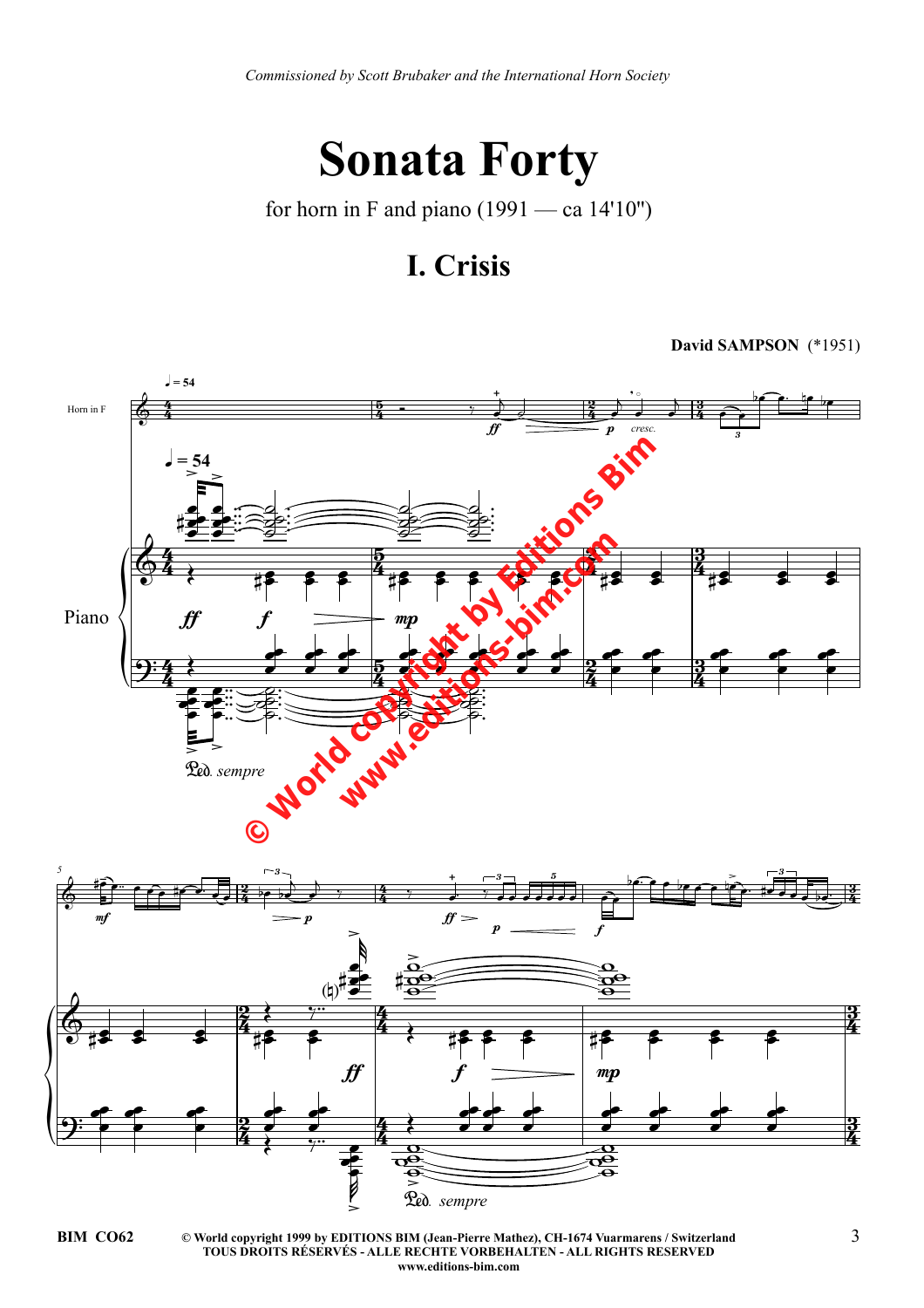## **Sonata Forty**

for horn in F and piano  $(1991 - ca 14'10'')$ 

## **I. Crisis**

**David SAMPSON** (\*1951)



**© World copyright 1999 by EDITIONS BIM (Jean-Pierre Mathez), CH-1674 Vuarmarens / Switzerland BIM CO62** 3 **TOUS DROITS RÉSERVÉS - ALLE RECHTE VORBEHALTEN - ALL RIGHTS RESERVED www.editions-bim.com**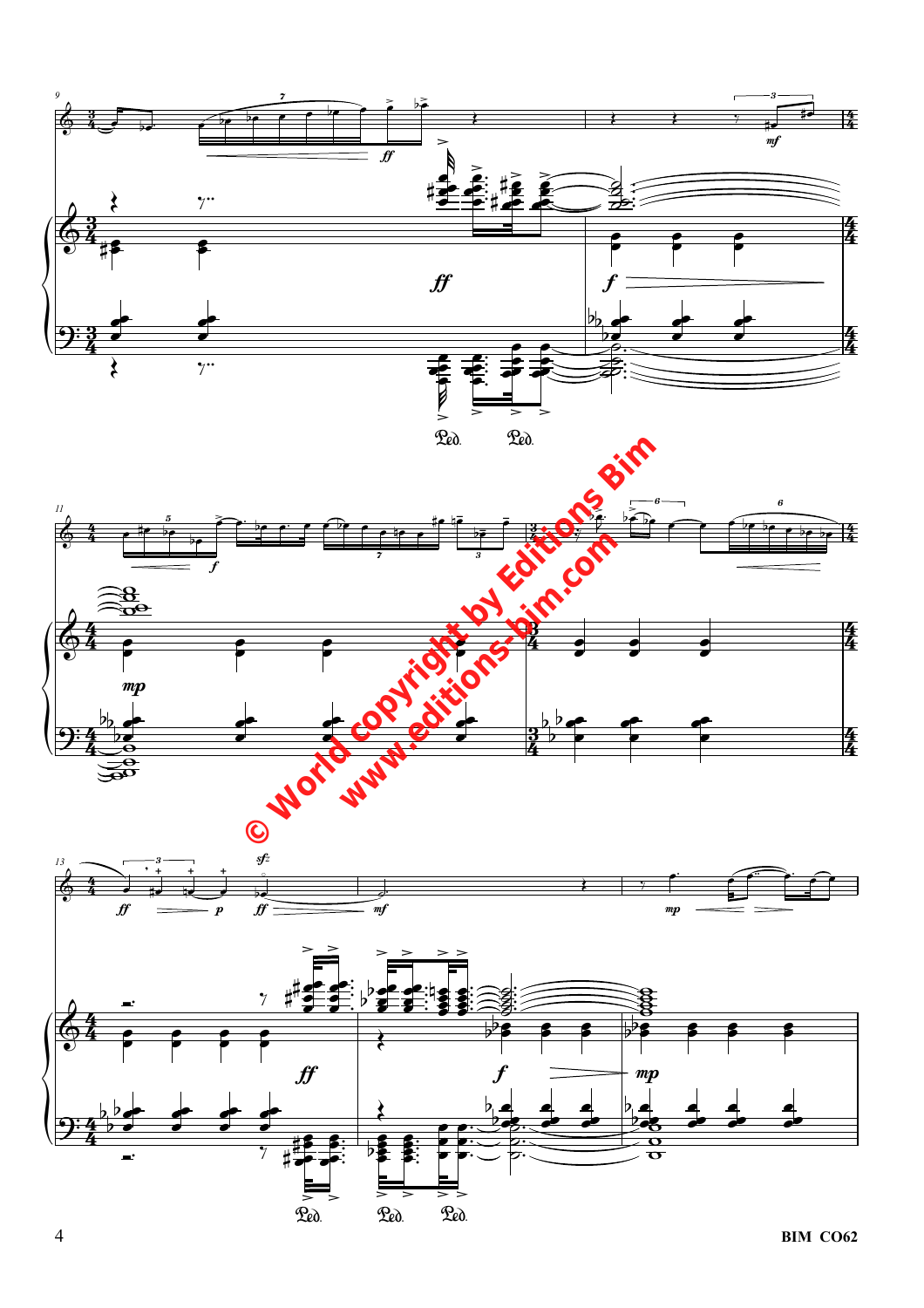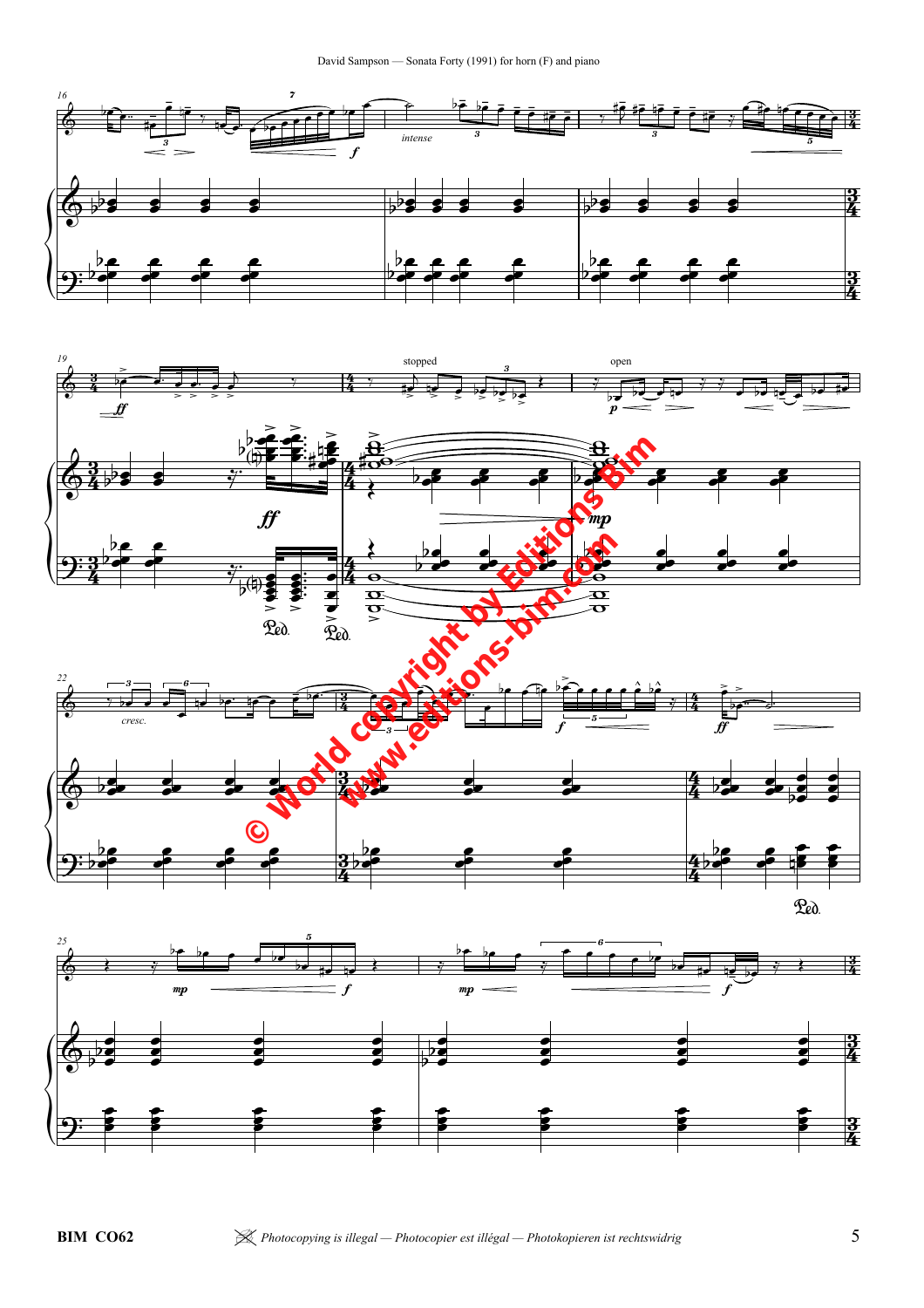





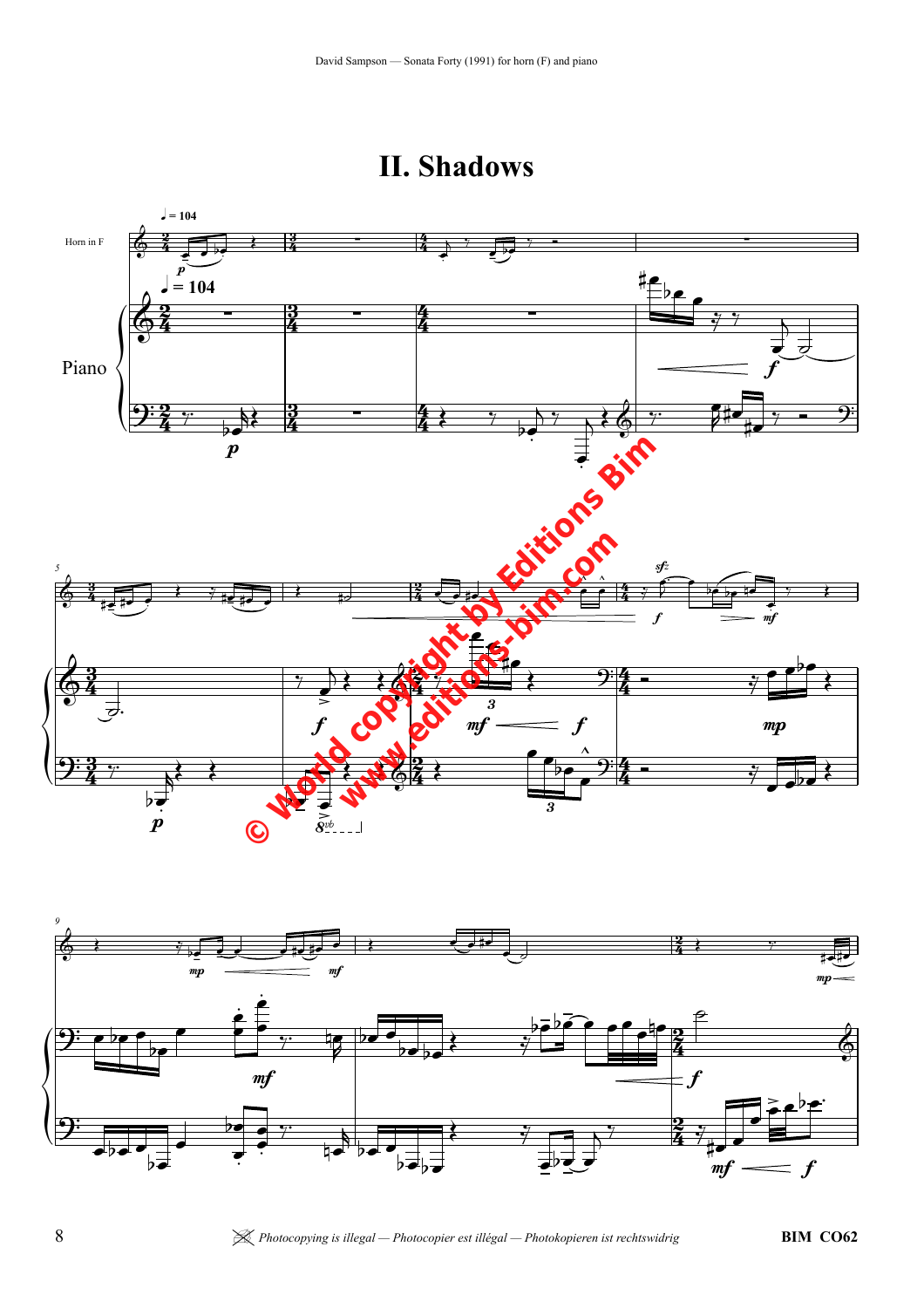



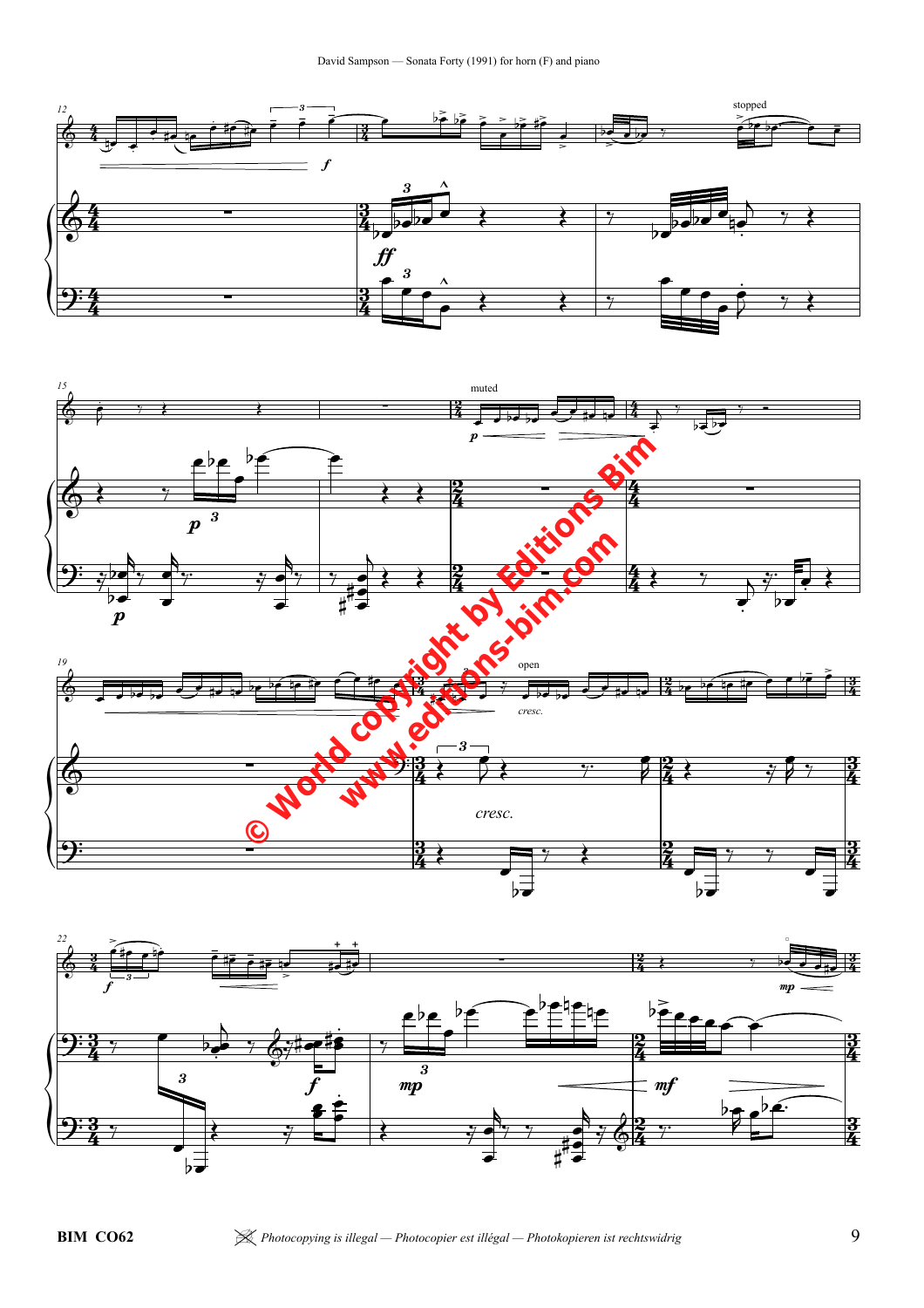





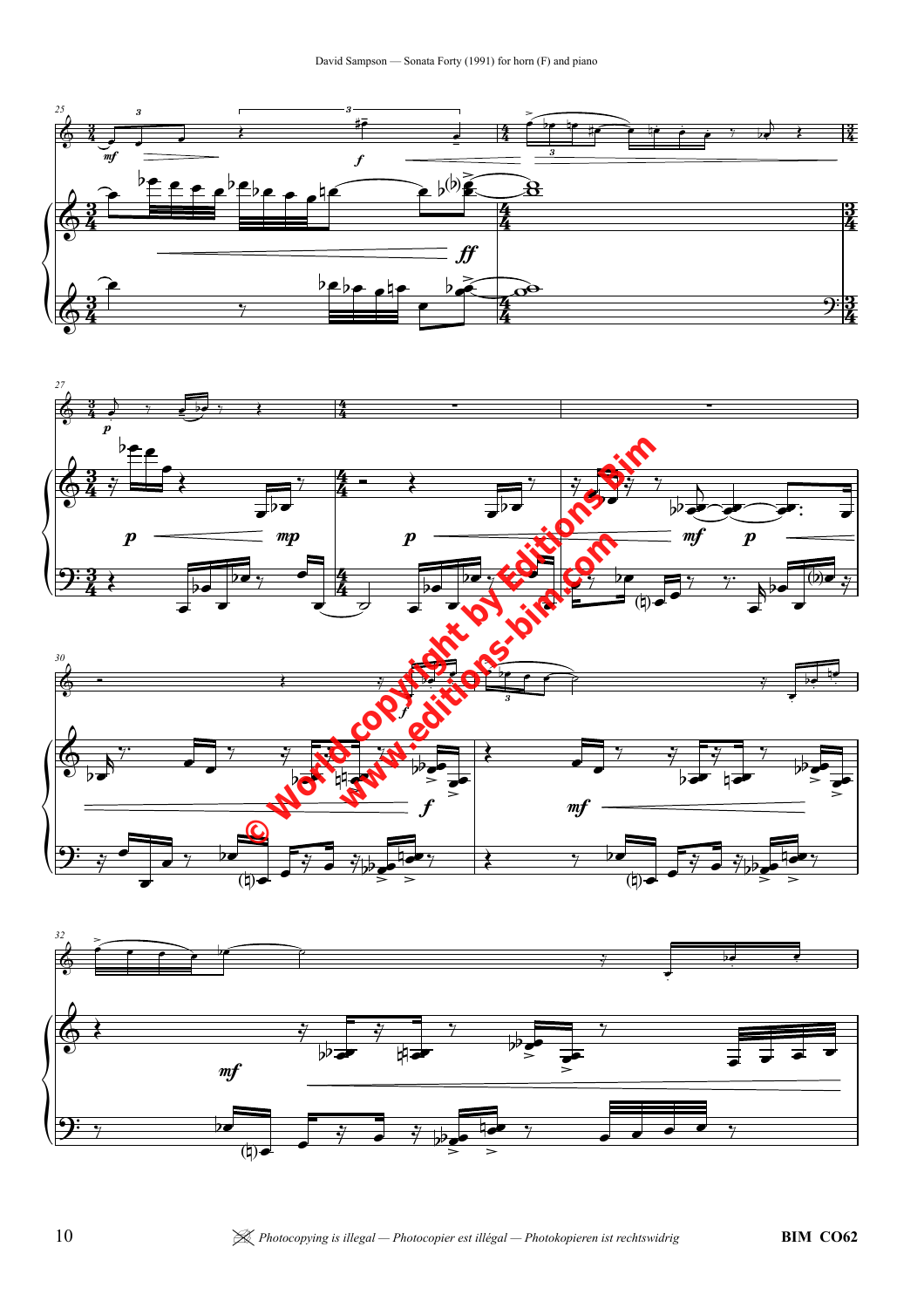





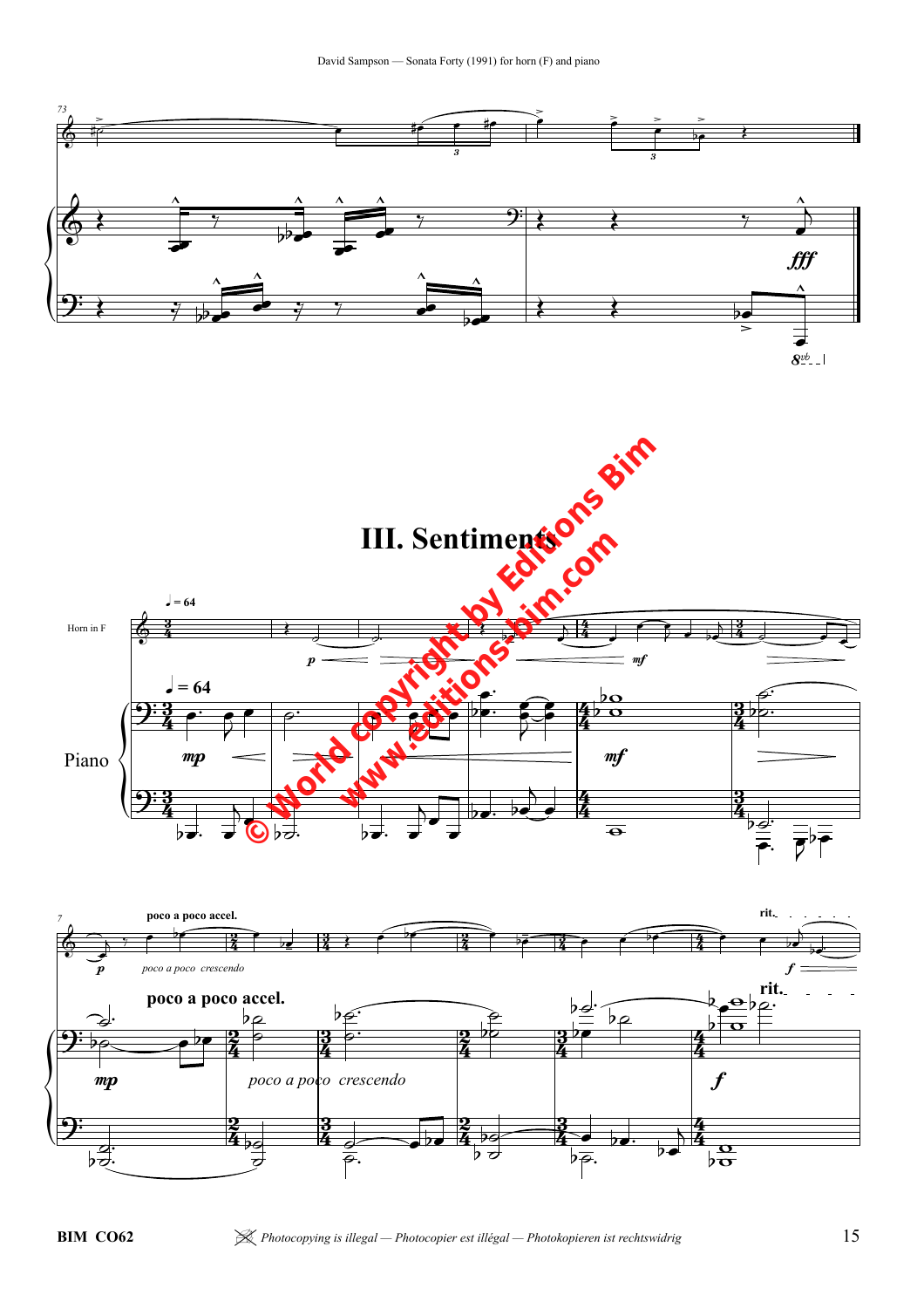



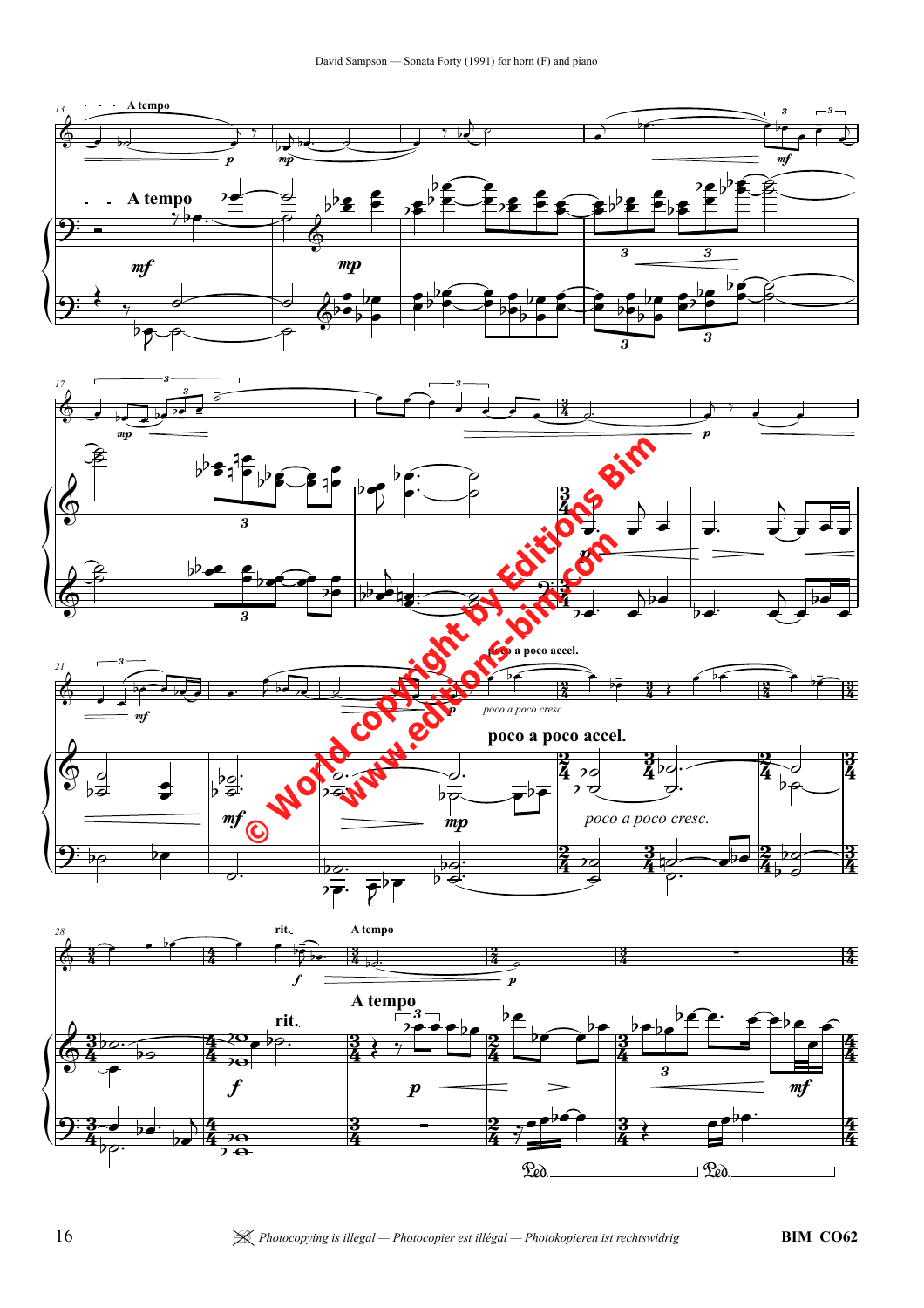





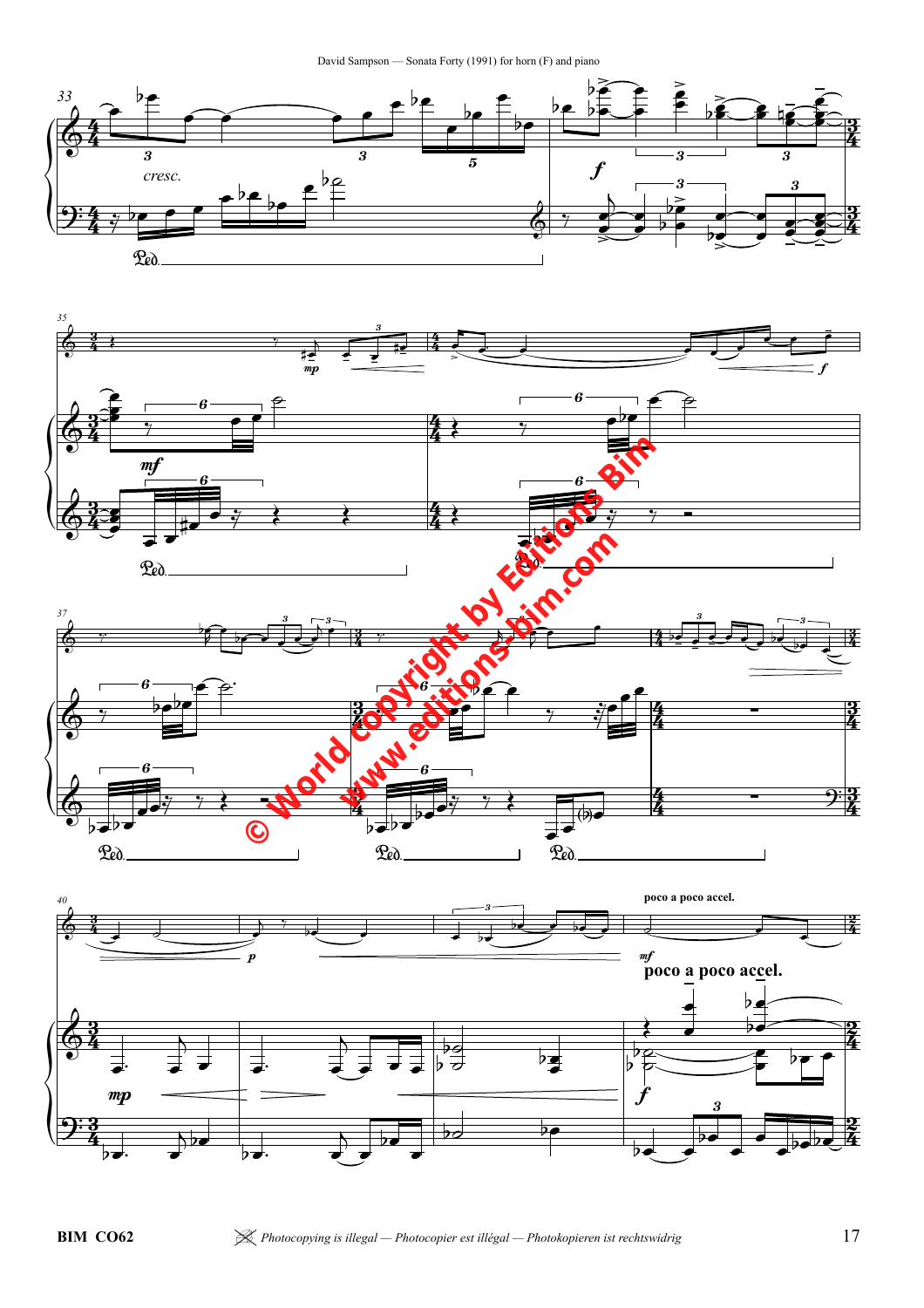David Sampson — Sonata Forty (1991) for horn (F) and piano







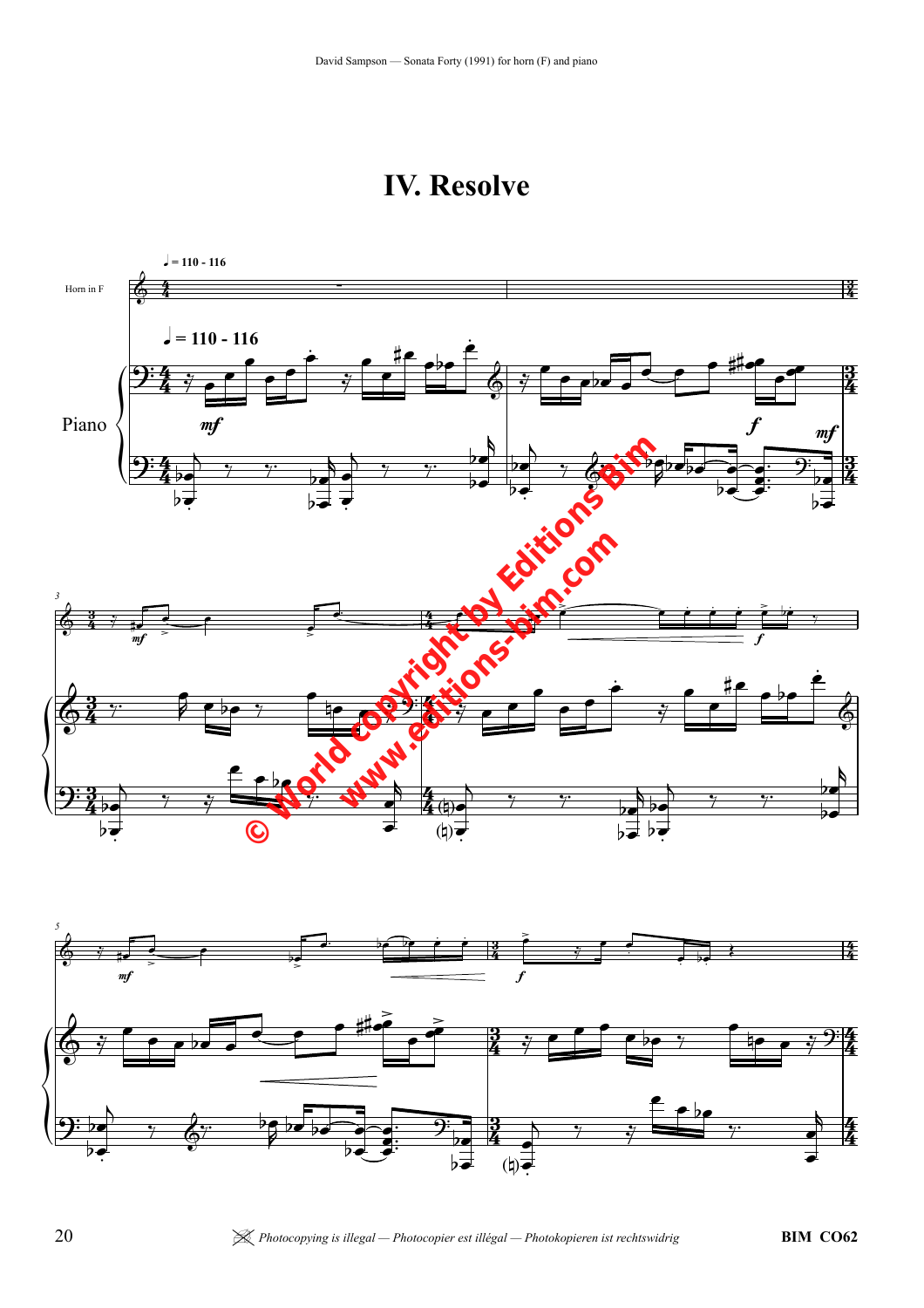



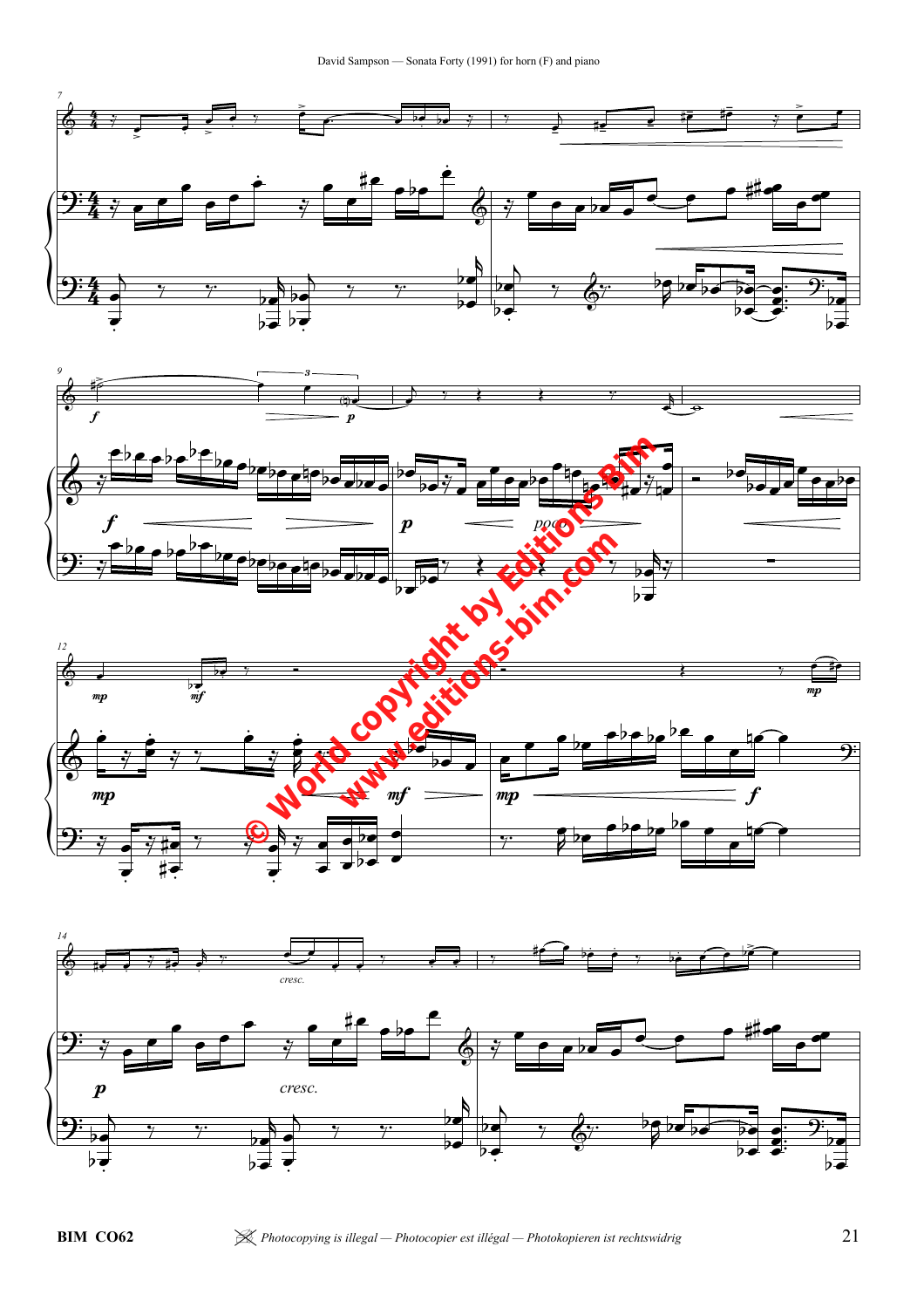





![](_page_10_Figure_4.jpeg)